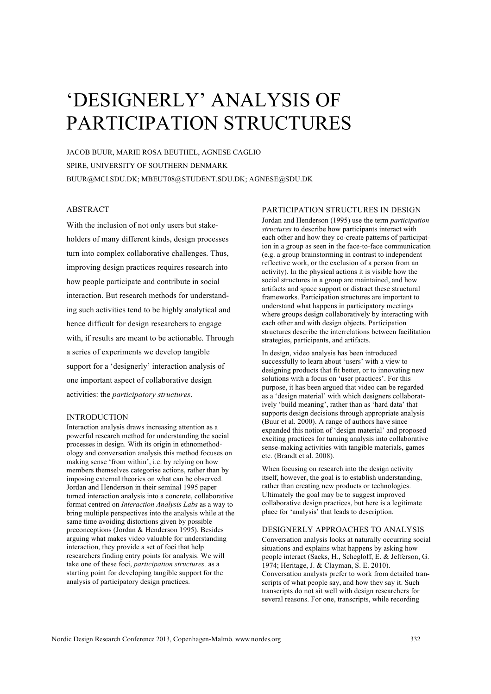# 'DESIGNERLY' ANALYSIS OF PARTICIPATION STRUCTURES

JACOB BUUR, MARIE ROSA BEUTHEL, AGNESE CAGLIO SPIRE, UNIVERSITY OF SOUTHERN DENMARK BUUR@MCI.SDU.DK; MBEUT08@STUDENT.SDU.DK; AGNESE@SDU.DK

# ABSTRACT

With the inclusion of not only users but stakeholders of many different kinds, design processes turn into complex collaborative challenges. Thus, improving design practices requires research into how people participate and contribute in social interaction. But research methods for understanding such activities tend to be highly analytical and hence difficult for design researchers to engage with, if results are meant to be actionable. Through a series of experiments we develop tangible support for a 'designerly' interaction analysis of one important aspect of collaborative design activities: the *participatory structures*.

# INTRODUCTION

Interaction analysis draws increasing attention as a powerful research method for understanding the social processes in design. With its origin in ethnomethodology and conversation analysis this method focuses on making sense 'from within', i.e. by relying on how members themselves categorise actions, rather than by imposing external theories on what can be observed. Jordan and Henderson in their seminal 1995 paper turned interaction analysis into a concrete, collaborative format centred on *Interaction Analysis Labs* as a way to bring multiple perspectives into the analysis while at the same time avoiding distortions given by possible preconceptions (Jordan & Henderson 1995). Besides arguing what makes video valuable for understanding interaction, they provide a set of foci that help researchers finding entry points for analysis. We will take one of these foci, *participation structures,* as a starting point for developing tangible support for the analysis of participatory design practices.

## PARTICIPATION STRUCTURES IN DESIGN

Jordan and Henderson (1995) use the term *participation structures* to describe how participants interact with each other and how they co-create patterns of participation in a group as seen in the face-to-face communication (e.g. a group brainstorming in contrast to independent reflective work, or the exclusion of a person from an activity). In the physical actions it is visible how the social structures in a group are maintained, and how artifacts and space support or distract these structural frameworks. Participation structures are important to understand what happens in participatory meetings where groups design collaboratively by interacting with each other and with design objects. Participation structures describe the interrelations between facilitation strategies, participants, and artifacts.

In design, video analysis has been introduced successfully to learn about 'users' with a view to designing products that fit better, or to innovating new solutions with a focus on 'user practices'. For this purpose, it has been argued that video can be regarded as a 'design material' with which designers collaboratively 'build meaning', rather than as 'hard data' that supports design decisions through appropriate analysis (Buur et al. 2000). A range of authors have since expanded this notion of 'design material' and proposed exciting practices for turning analysis into collaborative sense-making activities with tangible materials, games etc. (Brandt et al. 2008).

When focusing on research into the design activity itself, however, the goal is to establish understanding, rather than creating new products or technologies. Ultimately the goal may be to suggest improved collaborative design practices, but here is a legitimate place for 'analysis' that leads to description.

## DESIGNERLY APPROACHES TO ANALYSIS

Conversation analysis looks at naturally occurring social situations and explains what happens by asking how people interact (Sacks, H., Schegloff, E. & Jefferson, G. 1974; Heritage, J. & Clayman, S. E. 2010). Conversation analysts prefer to work from detailed transcripts of what people say, and how they say it. Such transcripts do not sit well with design researchers for several reasons. For one, transcripts, while recording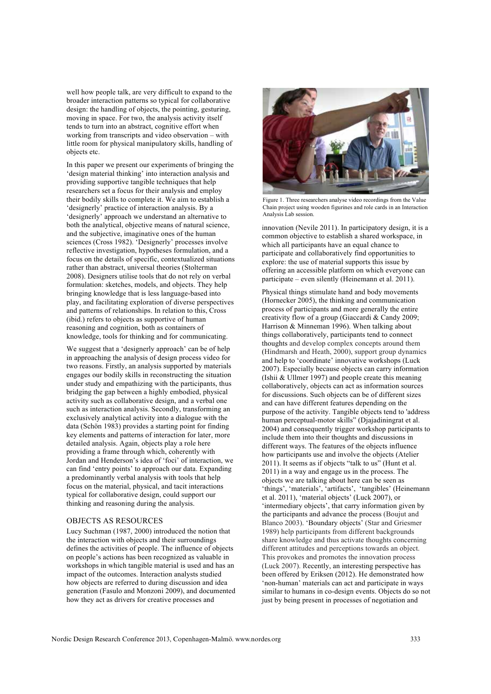well how people talk, are very difficult to expand to the broader interaction patterns so typical for collaborative design: the handling of objects, the pointing, gesturing, moving in space. For two, the analysis activity itself tends to turn into an abstract, cognitive effort when working from transcripts and video observation – with little room for physical manipulatory skills, handling of objects etc.

In this paper we present our experiments of bringing the 'design material thinking' into interaction analysis and providing supportive tangible techniques that help researchers set a focus for their analysis and employ their bodily skills to complete it. We aim to establish a 'designerly' practice of interaction analysis. By a 'designerly' approach we understand an alternative to both the analytical, objective means of natural science, and the subjective, imaginative ones of the human sciences (Cross 1982). 'Designerly' processes involve reflective investigation, hypotheses formulation, and a focus on the details of specific, contextualized situations rather than abstract, universal theories (Stolterman 2008). Designers utilise tools that do not rely on verbal formulation: sketches, models, and objects. They help bringing knowledge that is less language-based into play, and facilitating exploration of diverse perspectives and patterns of relationships. In relation to this, Cross (ibid.) refers to objects as supportive of human reasoning and cognition, both as containers of knowledge, tools for thinking and for communicating.

We suggest that a 'designerly approach' can be of help in approaching the analysis of design process video for two reasons. Firstly, an analysis supported by materials engages our bodily skills in reconstructing the situation under study and empathizing with the participants, thus bridging the gap between a highly embodied, physical activity such as collaborative design, and a verbal one such as interaction analysis. Secondly, transforming an exclusively analytical activity into a dialogue with the data (Schön 1983) provides a starting point for finding key elements and patterns of interaction for later, more detailed analysis. Again, objects play a role here providing a frame through which, coherently with Jordan and Henderson's idea of 'foci' of interaction, we can find 'entry points' to approach our data. Expanding a predominantly verbal analysis with tools that help focus on the material, physical, and tacit interactions typical for collaborative design, could support our thinking and reasoning during the analysis.

#### OBJECTS AS RESOURCES

Lucy Suchman (1987, 2000) introduced the notion that the interaction with objects and their surroundings defines the activities of people. The influence of objects on people's actions has been recognized as valuable in workshops in which tangible material is used and has an impact of the outcomes. Interaction analysts studied how objects are referred to during discussion and idea generation (Fasulo and Monzoni 2009), and documented how they act as drivers for creative processes and



Figure 1. Three researchers analyse video recordings from the Value Chain project using wooden figurines and role cards in an Interaction Analysis Lab session.

innovation (Nevile 2011). In participatory design, it is a common objective to establish a shared workspace, in which all participants have an equal chance to participate and collaboratively find opportunities to explore: the use of material supports this issue by offering an accessible platform on which everyone can participate – even silently (Heinemann et al. 2011).

Physical things stimulate hand and body movements (Hornecker 2005), the thinking and communication process of participants and more generally the entire creativity flow of a group (Giaccardi & Candy 2009; Harrison & Minneman 1996). When talking about things collaboratively, participants tend to connect thoughts and develop complex concepts around them (Hindmarsh and Heath, 2000), support group dynamics and help to 'coordinate' innovative workshops (Luck 2007). Especially because objects can carry information (Ishii & Ullmer 1997) and people create this meaning collaboratively, objects can act as information sources for discussions. Such objects can be of different sizes and can have different features depending on the purpose of the activity. Tangible objects tend to 'address human perceptual-motor skills" (Djajadiningrat et al. 2004) and consequently trigger workshop participants to include them into their thoughts and discussions in different ways. The features of the objects influence how participants use and involve the objects (Atelier 2011). It seems as if objects "talk to us" (Hunt et al. 2011) in a way and engage us in the process. The objects we are talking about here can be seen as 'things', 'materials', 'artifacts', 'tangibles' (Heinemann et al. 2011), 'material objects' (Luck 2007), or 'intermediary objects', that carry information given by the participants and advance the process (Boujut and Blanco 2003). 'Boundary objects' (Star and Griesmer 1989) help participants from different backgrounds share knowledge and thus activate thoughts concerning different attitudes and perceptions towards an object. This provokes and promotes the innovation process (Luck 2007). Recently, an interesting perspective has been offered by Eriksen (2012). He demonstrated how 'non-human' materials can act and participate in ways similar to humans in co-design events. Objects do so not just by being present in processes of negotiation and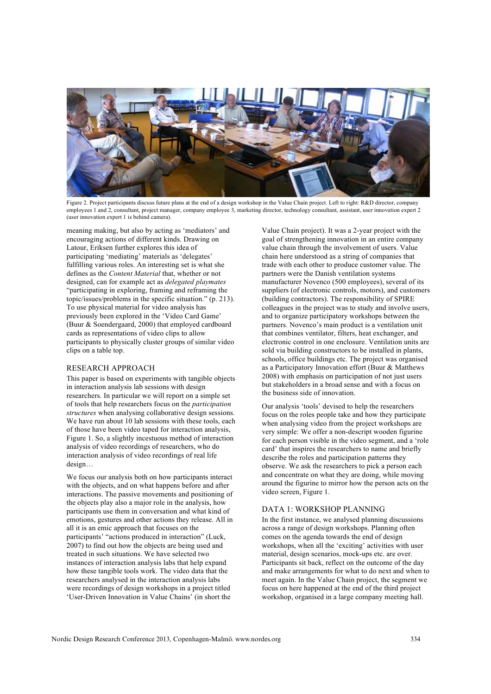

Figure 2. Project participants discuss future plans at the end of a design workshop in the Value Chain project. Left to right: R&D director, company employees 1 and 2, consultant, project manager, company employee 3, marketing director, technology consultant, assistant, user innovation expert 2 (user innovation expert 1 is behind camera).

meaning making, but also by acting as 'mediators' and encouraging actions of different kinds. Drawing on Latour, Eriksen further explores this idea of participating 'mediating' materials as 'delegates' fulfilling various roles. An interesting set is what she defines as the *Content Material* that, whether or not designed, can for example act as *delegated playmates* "participating in exploring, framing and reframing the topic/issues/problems in the specific situation." (p. 213). To use physical material for video analysis has previously been explored in the 'Video Card Game' (Buur & Soendergaard, 2000) that employed cardboard cards as representations of video clips to allow participants to physically cluster groups of similar video clips on a table top.

# RESEARCH APPROACH

This paper is based on experiments with tangible objects in interaction analysis lab sessions with design researchers. In particular we will report on a simple set of tools that help researchers focus on the *participation structures* when analysing collaborative design sessions. We have run about 10 lab sessions with these tools, each of those have been video taped for interaction analysis, Figure 1. So, a slightly incestuous method of interaction analysis of video recordings of researchers, who do interaction analysis of video recordings of real life design…

We focus our analysis both on how participants interact with the objects, and on what happens before and after interactions. The passive movements and positioning of the objects play also a major role in the analysis, how participants use them in conversation and what kind of emotions, gestures and other actions they release. All in all it is an emic approach that focuses on the participants' "actions produced in interaction" (Luck, 2007) to find out how the objects are being used and treated in such situations. We have selected two instances of interaction analysis labs that help expand how these tangible tools work. The video data that the researchers analysed in the interaction analysis labs were recordings of design workshops in a project titled 'User-Driven Innovation in Value Chains' (in short the

Value Chain project). It was a 2-year project with the goal of strengthening innovation in an entire company value chain through the involvement of users. Value chain here understood as a string of companies that trade with each other to produce customer value. The partners were the Danish ventilation systems manufacturer Novenco (500 employees), several of its suppliers (of electronic controls, motors), and customers (building contractors). The responsibility of SPIRE colleagues in the project was to study and involve users, and to organize participatory workshops between the partners. Novenco's main product is a ventilation unit that combines ventilator, filters, heat exchanger, and electronic control in one enclosure. Ventilation units are sold via building constructors to be installed in plants, schools, office buildings etc. The project was organised as a Participatory Innovation effort (Buur & Matthews 2008) with emphasis on participation of not just users but stakeholders in a broad sense and with a focus on the business side of innovation.

Our analysis 'tools' devised to help the researchers focus on the roles people take and how they participate when analysing video from the project workshops are very simple: We offer a non-descript wooden figurine for each person visible in the video segment, and a 'role card' that inspires the researchers to name and briefly describe the roles and participation patterns they observe. We ask the researchers to pick a person each and concentrate on what they are doing, while moving around the figurine to mirror how the person acts on the video screen, Figure 1.

# DATA 1: WORKSHOP PLANNING

In the first instance, we analysed planning discussions across a range of design workshops. Planning often comes on the agenda towards the end of design workshops, when all the 'exciting' activities with user material, design scenarios, mock-ups etc. are over. Participants sit back, reflect on the outcome of the day and make arrangements for what to do next and when to meet again. In the Value Chain project, the segment we focus on here happened at the end of the third project workshop, organised in a large company meeting hall.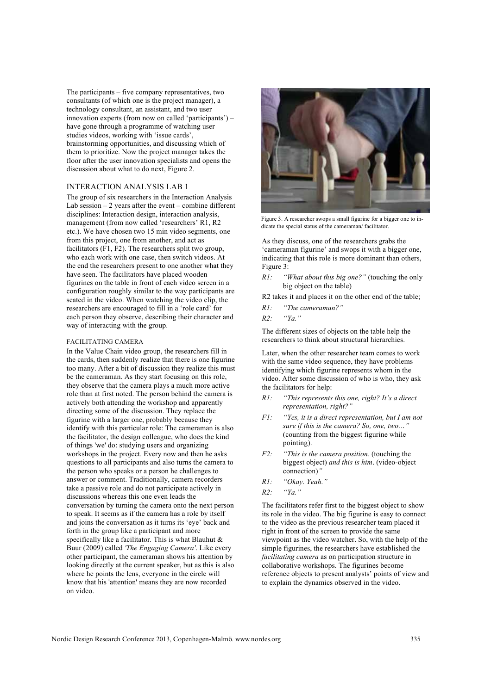The participants – five company representatives, two consultants (of which one is the project manager), a technology consultant, an assistant, and two user innovation experts (from now on called 'participants') – have gone through a programme of watching user studies videos, working with 'issue cards', brainstorming opportunities, and discussing which of them to prioritize. Now the project manager takes the floor after the user innovation specialists and opens the discussion about what to do next, Figure 2.

## INTERACTION ANALYSIS LAB 1

The group of six researchers in the Interaction Analysis Lab session  $-2$  years after the event – combine different disciplines: Interaction design, interaction analysis, management (from now called 'researchers' R1, R2 etc.). We have chosen two 15 min video segments, one from this project, one from another, and act as facilitators (F1, F2). The researchers split two group, who each work with one case, then switch videos. At the end the researchers present to one another what they have seen. The facilitators have placed wooden figurines on the table in front of each video screen in a configuration roughly similar to the way participants are seated in the video. When watching the video clip, the researchers are encouraged to fill in a 'role card' for each person they observe, describing their character and way of interacting with the group.

#### FACILITATING CAMERA

In the Value Chain video group, the researchers fill in the cards, then suddenly realize that there is one figurine too many. After a bit of discussion they realize this must be the cameraman. As they start focusing on this role, they observe that the camera plays a much more active role than at first noted. The person behind the camera is actively both attending the workshop and apparently directing some of the discussion. They replace the figurine with a larger one, probably because they identify with this particular role: The cameraman is also the facilitator, the design colleague, who does the kind of things 'we' do: studying users and organizing workshops in the project. Every now and then he asks questions to all participants and also turns the camera to the person who speaks or a person he challenges to answer or comment. Traditionally, camera recorders take a passive role and do not participate actively in discussions whereas this one even leads the conversation by turning the camera onto the next person to speak. It seems as if the camera has a role by itself and joins the conversation as it turns its 'eye' back and forth in the group like a participant and more specifically like a facilitator. This is what Blauhut & Buur (2009) called *'The Engaging Camera'*. Like every other participant, the cameraman shows his attention by looking directly at the current speaker, but as this is also where he points the lens, everyone in the circle will know that his 'attention' means they are now recorded on video.



Figure 3. A researcher swops a small figurine for a bigger one to indicate the special status of the cameraman/ facilitator.

As they discuss, one of the researchers grabs the 'cameraman figurine' and swops it with a bigger one, indicating that this role is more dominant than others, Figure 3:

*R1: "What about this big one?"* (touching the only big object on the table)

R2 takes it and places it on the other end of the table;

- *R1: "The cameraman?"*
- *R2: "Ya."*

The different sizes of objects on the table help the researchers to think about structural hierarchies.

Later, when the other researcher team comes to work with the same video sequence, they have problems identifying which figurine represents whom in the video. After some discussion of who is who, they ask the facilitators for help:

- *R1: "This represents this one, right? It's a direct representation, right?"*
- *F1: "Yes, it is a direct representation, but I am not sure if this is the camera? So, one, two…"* (counting from the biggest figurine while pointing).
- *F2: "This is the camera position*. (touching the biggest object) *and this is him*. (video-object connection)*"*
- *R1: "Okay. Yeah."*
- *R2: "Ya."*

The facilitators refer first to the biggest object to show its role in the video. The big figurine is easy to connect to the video as the previous researcher team placed it right in front of the screen to provide the same viewpoint as the video watcher. So, with the help of the simple figurines, the researchers have established the *facilitating camera* as on participation structure in collaborative workshops. The figurines become reference objects to present analysts' points of view and to explain the dynamics observed in the video.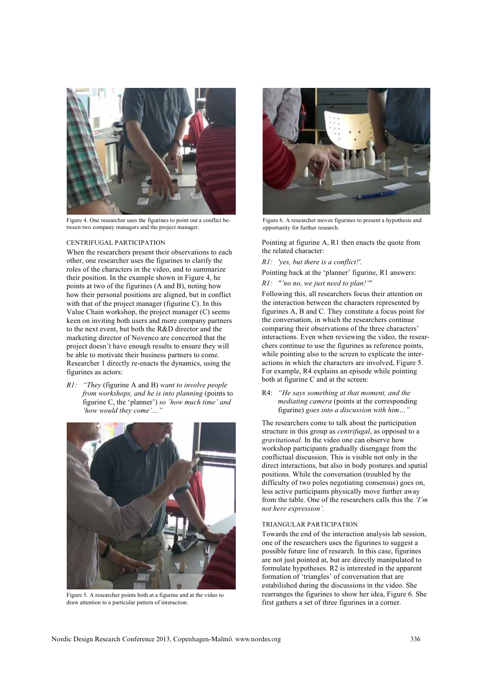

Figure 4. One researcher uses the figurines to point out a conflict between two company managers and the project manager.

#### CENTRIFUGAL PARTICIPATION

When the researchers present their observations to each other, one researcher uses the figurines to clarify the roles of the characters in the video, and to summarize their position. In the example shown in Figure 4, he points at two of the figurines (A and B), noting how how their personal positions are aligned, but in conflict with that of the project manager (figurine C). In this Value Chain workshop, the project manager (C) seems keen on inviting both users and more company partners to the next event, but both the R&D director and the marketing director of Novenco are concerned that the project doesn't have enough results to ensure they will be able to motivate their business partners to come. Researcher 1 directly re-enacts the dynamics, using the figurines as actors:

*R1: "They* (figurine A and B) *want to involve people from workshops, and he is into planning* (points to figurine C, the 'planner') *so ´how much time´ and 'how would they come'…"* 



Figure 5. A researcher points both at a figurine and at the video to draw attention to a particular pattern of interaction.



Figure 6. A researcher moves figurines to present a hypothesis and opportunity for further research.

Pointing at figurine A, R1 then enacts the quote from the related character:

*R1: 'yes, but there is a conflict!'.*

Pointing back at the 'planner' figurine, R1 answers:

# *R1: "'no no, we just need to plan!'"*

Following this, all researchers focus their attention on the interaction between the characters represented by figurines A, B and C. They constitute a focus point for the conversation, in which the researchers continue comparing their observations of the three characters' interactions. Even when reviewing the video, the researchers continue to use the figurines as reference points, while pointing also to the screen to explicate the interactions in which the characters are involved, Figure 5. For example, R4 explains an episode while pointing both at figurine C and at the screen:

R4: *"He says something at that moment, and the mediating camera* (points at the corresponding figurine) *goes into a discussion with him…"*

The researchers come to talk about the participation structure in this group as *centrifugal*, as opposed to a *gravitational*. In the video one can observe how workshop participants gradually disengage from the conflictual discussion. This is visible not only in the direct interactions, but also in body postures and spatial positions. While the conversation (troubled by the difficulty of two poles negotiating consensus) goes on, less active participants physically move further away from the table. One of the researchers calls this the *'I'm not here expression'.*

### TRIANGULAR PARTICIPATION

Towards the end of the interaction analysis lab session, one of the researchers uses the figurines to suggest a possible future line of research. In this case, figurines are not just pointed at, but are directly manipulated to formulate hypotheses. R2 is interested in the apparent formation of 'triangles' of conversation that are estabilished during the discussions in the video. She rearranges the figurines to show her idea, Figure 6. She first gathers a set of three figurines in a corner.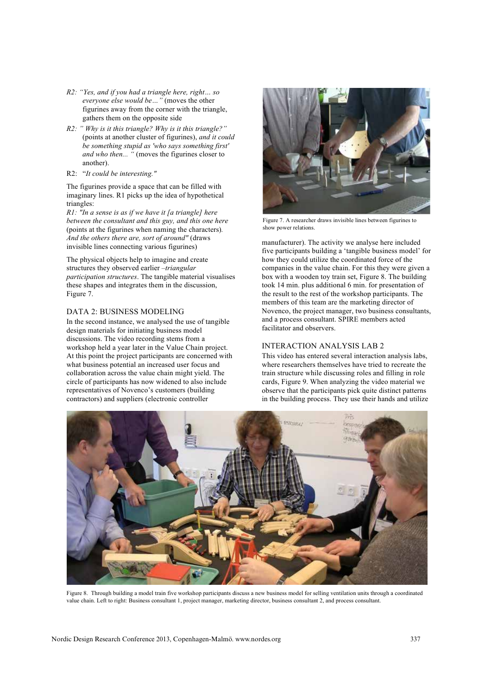- *R2: "Yes, and if you had a triangle here, right… so everyone else would be…"* (moves the other figurines away from the corner with the triangle, gathers them on the opposite side
- *R2: " Why is it this triangle? Why is it this triangle?"*  (points at another cluster of figurines), *and it could be something stupid as 'who says something first' and who then...* " (moves the figurines closer to another).
- R2: "*It could be interesting."*

The figurines provide a space that can be filled with imaginary lines. R1 picks up the idea of hypothetical triangles:

*R1: "In a sense is as if we have it [a triangle] here between the consultant and this guy, and this one here*  (points at the figurines when naming the characters)*. And the others there are, sort of around"* (draws invisible lines connecting various figurines)

The physical objects help to imagine and create structures they observed earlier –*triangular participation structures*. The tangible material visualises these shapes and integrates them in the discussion, Figure 7.

# DATA 2: BUSINESS MODELING

In the second instance, we analysed the use of tangible design materials for initiating business model discussions. The video recording stems from a workshop held a year later in the Value Chain project. At this point the project participants are concerned with what business potential an increased user focus and collaboration across the value chain might yield. The circle of participants has now widened to also include representatives of Novenco's customers (building contractors) and suppliers (electronic controller



Figure 7. A researcher draws invisible lines between figurines to show power relations.

manufacturer). The activity we analyse here included five participants building a 'tangible business model' for how they could utilize the coordinated force of the companies in the value chain. For this they were given a box with a wooden toy train set, Figure 8. The building took 14 min. plus additional 6 min. for presentation of the result to the rest of the workshop participants. The members of this team are the marketing director of Novenco, the project manager, two business consultants, and a process consultant. SPIRE members acted facilitator and observers.

# INTERACTION ANALYSIS LAB 2

This video has entered several interaction analysis labs, where researchers themselves have tried to recreate the train structure while discussing roles and filling in role cards, Figure 9. When analyzing the video material we observe that the participants pick quite distinct patterns in the building process. They use their hands and utilize



Figure 8. Through building a model train five workshop participants discuss a new business model for selling ventilation units through a coordinated value chain. Left to right: Business consultant 1, project manager, marketing director, business consultant 2, and process consultant.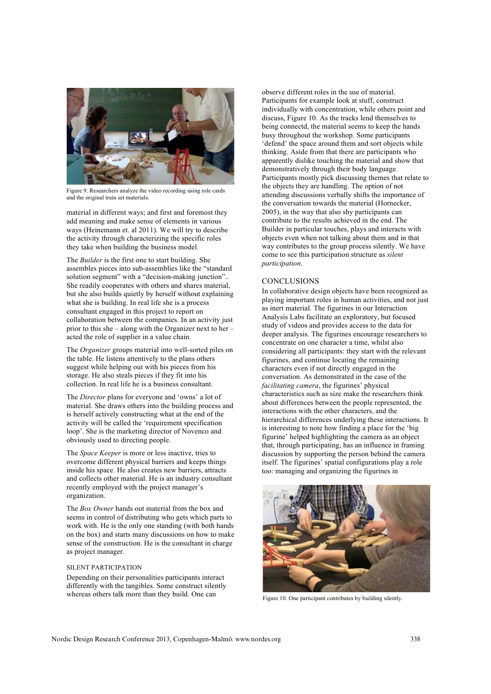

Figure 9. Researchers analyze the video recording using role cards and the original train set materials.

material in different ways; and first and foremost they add meaning and make sense of elements in various ways (Heinemann et. al 2011). We will try to describe the activity through characterizing the specific roles they take when building the business model.

The *Builder* is the first one to start building. She assembles pieces into sub-assemblies like the "standard solution segment" with a "decision-making junction"... She readily cooperates with others and shares material, but she also builds quietly by herself without explaining what she is building. In real life she is a process consultant engaged in this project to report on collaboration between the companies. In an activity just prior to this she – along with the Organizer next to her – acted the role of supplier in a value chain.

The *Organizer* groups material into well-sorted piles on the table. He listens attentively to the plans others suggest while helping out with his pieces from his storage. He also steals pieces if they fit into his collection. In real life he is a business consultant.

The *Director* plans for everyone and 'owns' a lot of material. She draws others into the building process and is herself actively constructing what at the end of the activity will be called the 'requirement specification loop'. She is the marketing director of Novenco and obviously used to directing people.

The *Space Keeper* is more or less inactive, tries to overcome different physical barriers and keeps things inside his space. He also creates new barriers, attracts and collects other material. He is an industry consultant recently employed with the project manager's organization.

The *Box Owner* hands out material from the box and seems in control of distributing who gets which parts to work with. He is the only one standing (with both hands on the box) and starts many discussions on how to make sense of the construction. He is the consultant in charge as project manager.

## SILENT PARTICIPATION

Depending on their personalities participants interact differently with the tangibles. Some construct silently whereas others talk more than they build. One can

observe different roles in the use of material. Participants for example look at stuff, construct individually with concentration, while others point and discuss, Figure 10. As the tracks lend themselves to being connectd, the material seems to keep the hands busy throughout the workshop. Some participants 'defend' the space around them and sort objects while thinking. Aside from that there are participants who apparently dislike touching the material and show that demonstratively through their body language. Participants mostly pick discussing themes that relate to the objects they are handling. The option of not attending discussions verbally shifts the importance of the conversation towards the material (Hornecker, 2005), in the way that also shy participants can contribute to the results achieved in the end. The Builder in particular touches, plays and interacts with objects even when not talking about them and in that way contributes to the group process silently. We have come to see this participation structure as *silent participation*.

## **CONCLUSIONS**

In collaborative design objects have been recognized as playing important roles in human activities, and not just as inert material. The figurines in our Interaction Analysis Labs facilitate an exploratory, but focused study of videos and provides access to the data for deeper analysis. The figurines encourage researchers to concentrate on one character a time, whilst also considering all participants: they start with the relevant figurines, and continue locating the remaining characters even if not directly engaged in the conversation. As demonstrated in the case of the *facilitating camera*, the figurines' physical characteristics such as size make the researchers think about differences between the people represented, the interactions with the other characters, and the hierarchical differences underlying these interactions. It is interesting to note how finding a place for the 'big figurine' helped highlighting the camera as an object that, through participating, has an influence in framing discussion by supporting the person behind the camera itself. The figurines' spatial configurations play a role too: managing and organizing the figurines in



Figure 10. One participant contributes by building silently.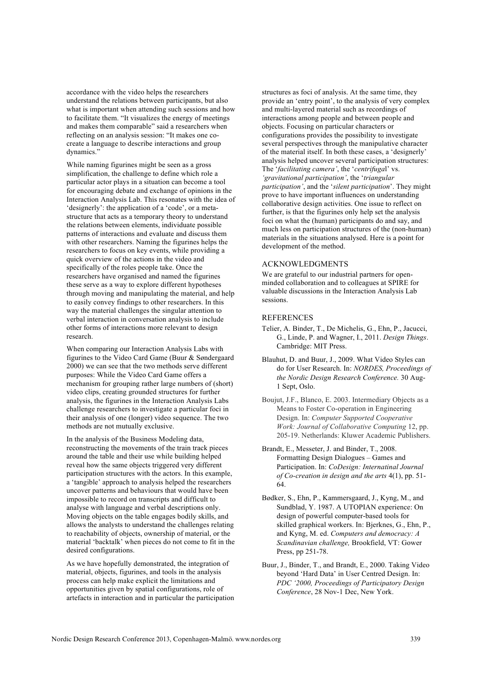accordance with the video helps the researchers understand the relations between participants, but also what is important when attending such sessions and how to facilitate them. "It visualizes the energy of meetings and makes them comparable" said a researchers when reflecting on an analysis session: "It makes one cocreate a language to describe interactions and group dynamics."

While naming figurines might be seen as a gross simplification, the challenge to define which role a particular actor plays in a situation can become a tool for encouraging debate and exchange of opinions in the Interaction Analysis Lab. This resonates with the idea of 'designerly': the application of a 'code', or a metastructure that acts as a temporary theory to understand the relations between elements, individuate possible patterns of interactions and evaluate and discuss them with other researchers. Naming the figurines helps the researchers to focus on key events, while providing a quick overview of the actions in the video and specifically of the roles people take. Once the researchers have organised and named the figurines these serve as a way to explore different hypotheses through moving and manipulating the material, and help to easily convey findings to other researchers. In this way the material challenges the singular attention to verbal interaction in conversation analysis to include other forms of interactions more relevant to design research.

When comparing our Interaction Analysis Labs with figurines to the Video Card Game (Buur & Søndergaard 2000) we can see that the two methods serve different purposes: While the Video Card Game offers a mechanism for grouping rather large numbers of (short) video clips, creating grounded structures for further analysis, the figurines in the Interaction Analysis Labs challenge researchers to investigate a particular foci in their analysis of one (longer) video sequence. The two methods are not mutually exclusive.

In the analysis of the Business Modeling data, reconstructing the movements of the train track pieces around the table and their use while building helped reveal how the same objects triggered very different participation structures with the actors. In this example, a 'tangible' approach to analysis helped the researchers uncover patterns and behaviours that would have been impossible to record on transcripts and difficult to analyse with language and verbal descriptions only. Moving objects on the table engages bodily skills, and allows the analysts to understand the challenges relating to reachability of objects, ownership of material, or the material 'backtalk' when pieces do not come to fit in the desired configurations.

As we have hopefully demonstrated, the integration of material, objects, figurines, and tools in the analysis process can help make explicit the limitations and opportunities given by spatial configurations, role of artefacts in interaction and in particular the participation structures as foci of analysis. At the same time, they provide an 'entry point', to the analysis of very complex and multi-layered material such as recordings of interactions among people and between people and objects. Focusing on particular characters or configurations provides the possibility to investigate several perspectives through the manipulative character of the material itself. In both these cases, a 'designerly' analysis helped uncover several participation structures: The '*facilitating camera'*, the '*centrifuga*l' vs. *'gravitational participation'*, the '*triangular participation'*, and the '*silent participation*'. They might prove to have important influences on understanding collaborative design activities. One issue to reflect on further, is that the figurines only help set the analysis foci on what the (human) participants do and say, and much less on participation structures of the (non-human) materials in the situations analysed. Here is a point for development of the method.

## ACKNOWLEDGMENTS

We are grateful to our industrial partners for openminded collaboration and to colleagues at SPIRE for valuable discussions in the Interaction Analysis Lab sessions.

## **REFERENCES**

- Telier, A. Binder, T., De Michelis, G., Ehn, P., Jacucci, G., Linde, P. and Wagner, I., 2011. *Design Things*. Cambridge: MIT Press.
- Blauhut, D. and Buur, J., 2009. What Video Styles can do for User Research. In: *NORDES, Proceedings of the Nordic Design Research Conference.* 30 Aug-1 Sept, Oslo.
- Boujut, J.F., Blanco, E. 2003. Intermediary Objects as a Means to Foster Co-operation in Engineering Design. In: *Computer Supported Cooperative Work: Journal of Collaborative Computing* 12, pp. 205-19. Netherlands: Kluwer Academic Publishers.
- Brandt, E., Messeter, J. and Binder, T., 2008. Formatting Design Dialogues – Games and Participation. In: *CoDesign: Internatinal Journal of Co-creation in design and the arts* 4(1), pp. 51- 64.
- Bødker, S., Ehn, P., Kammersgaard, J., Kyng, M., and Sundblad, Y. 1987. A UTOPIAN experience: On design of powerful computer-based tools for skilled graphical workers. In: Bjerknes, G., Ehn, P., and Kyng, M. ed. *Computers and democracy: A Scandinavian challenge,* Brookfield, VT: Gower Press, pp 251-78.
- Buur, J., Binder, T., and Brandt, E., 2000. Taking Video beyond 'Hard Data' in User Centred Design. In: *PDC '2000, Proceedings of Participatory Design Conference*, 28 Nov-1 Dec, New York.